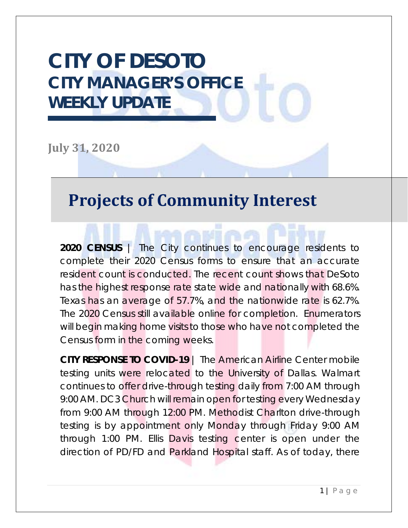# **CITY OF DESOTO CITY MANAGER'S OFFICE WEEKLY UPDATE**

**July 31, 2020**

#### **Projects of Community Interest**

**2020 CENSUS** | The City continues to encourage residents to complete their 2020 Census forms to ensure that an accurate resident count is conducted. The recent count shows that DeSoto has the highest response rate state wide and nationally with 68.6%. Texas has an average of 57.7%, and the nationwide rate is 62.7%. The 2020 Census still available online for completion. Enumerators will begin making home visits to those who have not completed the Census form in the coming weeks.

**CITY RESPONSE TO COVID-19** | The American Airline Center mobile testing units were relocated to the University of Dallas. Walmart continues to offer drive-through testing daily from 7:00 AM through 9:00 AM. DC3 Church will remain open for testing every Wednesday from 9:00 AM through 12:00 PM. Methodist Charlton drive-through testing is by appointment only Monday through Friday 9:00 AM through 1:00 PM. Ellis Davis testing center is open under the direction of PD/FD and Parkland Hospital staff. As of today, there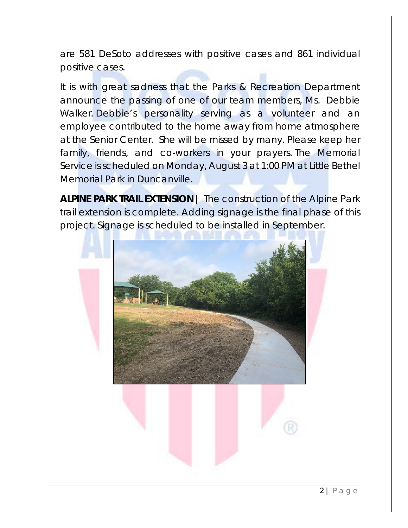are 581 DeSoto addresses with positive cases and 861 individual positive cases.

It is with great sadness that the Parks & Recreation Department announce the passing of one of our team members, Ms. Debbie Walker. Debbie's personality serving as a volunteer and an employee contributed to the home away from home atmosphere at the Senior Center. She will be missed by many. Please keep her family, friends, and co-workers in your prayers. The Memorial Service is scheduled on Monday, August 3 at 1:00 PM at Little Bethel Memorial Park in Duncanville.

**ALPINE PARK TRAIL EXTENSION** | The construction of the Alpine Park trail extension is complete. Adding signage is the final phase of this project. Signage is scheduled to be installed in September.

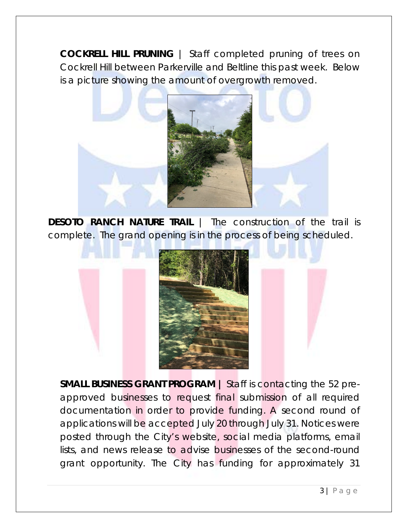**COCKRELL HILL PRUNING** | Staff completed pruning of trees on Cockrell Hill between Parkerville and Beltline this past week. Below is a picture showing the amount of overgrowth removed.



**DESOTO RANCH NATURE TRAIL** | The construction of the trail is complete. The grand opening is in the process of being scheduled.



**SMALL BUSINESS GRANT PROGRAM |** Staff is contacting the 52 preapproved businesses to request final submission of all required documentation in order to provide funding. A second round of applications will be accepted July 20 through July 31. Notices were posted through the City's website, social media platforms, email lists, and news release to advise businesses of the second-round grant opportunity. The City has funding for approximately 31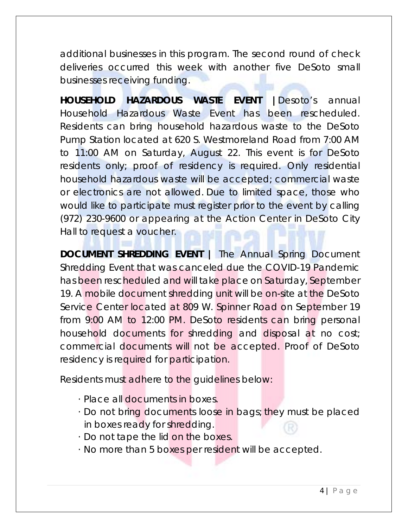additional businesses in this program. The second round of check deliveries occurred this week with another five DeSoto small businesses receiving funding.

**HOUSEHOLD HAZARDOUS WASTE EVENT |**Desoto's annual Household Hazardous Waste Event has been rescheduled. Residents can bring household hazardous waste to the DeSoto Pump Station located at 620 S. Westmoreland Road from 7:00 AM to 11:00 AM on Saturday, August 22. This event is for DeSoto residents only; proof of residency is required. Only residential household hazardous waste will be accepted; commercial waste or electronics are not allowed. Due to limited space, those who would like to participate must register prior to the event by calling (972) 230-9600 or appearing at the Action Center in DeSoto City Hall to request a voucher.

**DOCUMENT SHREDDING EVENT |** The Annual Spring Document Shredding Event that was canceled due the COVID-19 Pandemic has been rescheduled and will take place on Saturday, September 19. A mobile document shredding unit will be on-site at the DeSoto Service Center located at 809 W. Spinner Road on September 19 from 9:00 AM to 12:00 PM. DeSoto residents can bring personal household documents for shredding and disposal at no cost; commercial documents will not be accepted. Proof of DeSoto residency is required for participation.

Residents must adhere to the guidelines below:

- · Place all documents in boxes.
- · Do not bring documents loose in bags; they must be placed in boxes ready for shredding.
- · Do not tape the lid on the boxes.
- · No more than 5 boxes per resident will be accepted.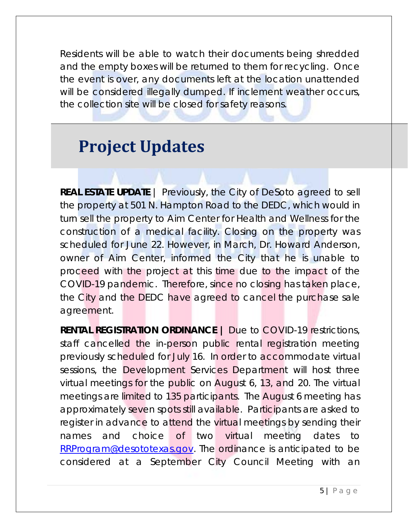Residents will be able to watch their documents being shredded and the empty boxes will be returned to them for recycling. Once the event is over, any documents left at the location unattended will be considered illegally dumped. If inclement weather occurs, the collection site will be closed for safety reasons.

### **Project Updates**

**REAL ESTATE UPDATE** | Previously, the City of DeSoto agreed to sell the property at 501 N. Hampton Road to the DEDC, which would in turn sell the property to Aim Center for Health and Wellness for the construction of a medical facility. Closing on the property was scheduled for June 22. However, in March, Dr. Howard Anderson, owner of Aim Center, informed the City that he is unable to proceed with the project at this time due to the impact of the COVID-19 pandemic. Therefore, since no closing has taken place, the City and the DEDC have agreed to cancel the purchase sale agreement.

**RENTAL REGISTRATION ORDINANCE |** Due to COVID-19 restrictions, staff cancelled the in-person public rental registration meeting previously scheduled for July 16. In order to accommodate virtual sessions, the Development Services Department will host three virtual meetings for the public on August 6, 13, and 20. The virtual meetings are limited to 135 participants. The August 6 meeting has approximately seven spots still available. Participants are asked to register in advance to attend the virtual meetings by sending their names and choice of two virtual meeting dates to [RRProgram@desototexas.gov.](mailto:RRProgram@desototexas.gov) The ordinance is anticipated to be considered at a September City Council Meeting with an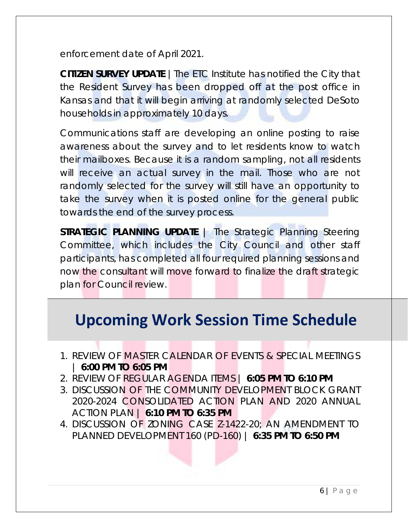enforcement date of April 2021.

**CITIZEN SURVEY UPDATE** |The ETC Institute has notified the City that the Resident Survey has been dropped off at the post office in Kansas and that it will begin arriving at randomly selected DeSoto households in approximately 10 days.

Communications staff are developing an online posting to raise awareness about the survey and to let residents know to watch their mailboxes. Because it is a random sampling, not all residents will receive an actual survey in the mail. Those who are not randomly selected for the survey will still have an opportunity to take the survey when it is posted online for the general public towards the end of the survey process.

**STRATEGIC PLANNING UPDATE** | The Strategic Planning Steering Committee, which includes the City Council and other staff participants, has completed all four required planning sessions and now the consultant will move forward to finalize the draft strategic plan for Council review.

#### **Upcoming Work Session Time Schedule**

- 1. REVIEW OF MASTER CALENDAR OF EVENTS & SPECIAL MEETINGS | **6:00 PM TO 6:05 PM**
- 2. REVIEW OF REGULAR AGENDA ITEMS | **6:05 PM TO 6:10 PM**
- 3. DISCUSSION OF THE COMMUNITY DEVELOPMENT BLOCK GRANT 2020-2024 CONSOLIDATED ACTION PLAN AND 2020 ANNUAL ACTION PLAN | **6:10 PM TO 6:35 PM**
- 4. DISCUSSION OF ZONING CASE Z-1422-20; AN AMENDMENT TO PLANNED DEVELOPMENT 160 (PD-160) | **6:35 PM TO 6:50 PM**